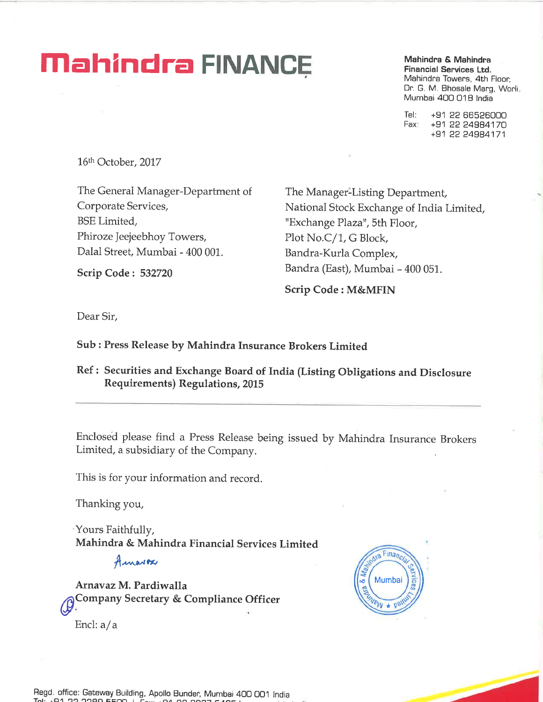# **Mahindra FINANCE**

Mahindra & Mahindra **Financial Services Ltd.** Mahindra Towers, 4th Floor, Dr. G. M. Bhosale Marg, Worli. Mumbai 400 018 India

+91 22 66526000 Tel: +91 22 24984170 Fax +91 22 24984171

16th October, 2017

The General Manager-Department of Corporate Services, **BSE** Limited, Phiroze Jeejeebhoy Towers, Dalal Street, Mumbai - 400 001.

**Scrip Code: 532720** 

The Manager-Listing Department, National Stock Exchange of India Limited, "Exchange Plaza", 5th Floor, Plot No.C/1, G Block, Bandra-Kurla Complex, Bandra (East), Mumbai - 400 051.

**Scrip Code: M&MFIN** 

Dear Sir,

# Sub: Press Release by Mahindra Insurance Brokers Limited

Ref: Securities and Exchange Board of India (Listing Obligations and Disclosure **Requirements) Regulations, 2015** 

Enclosed please find a Press Release being issued by Mahindra Insurance Brokers Limited, a subsidiary of the Company.

This is for your information and record.

Thanking you,

'Yours Faithfully, Mahindra & Mahindra Financial Services Limited

Amarox

Arnavaz M. Pardiwalla Company Secretary & Compliance Officer Encl: a/a

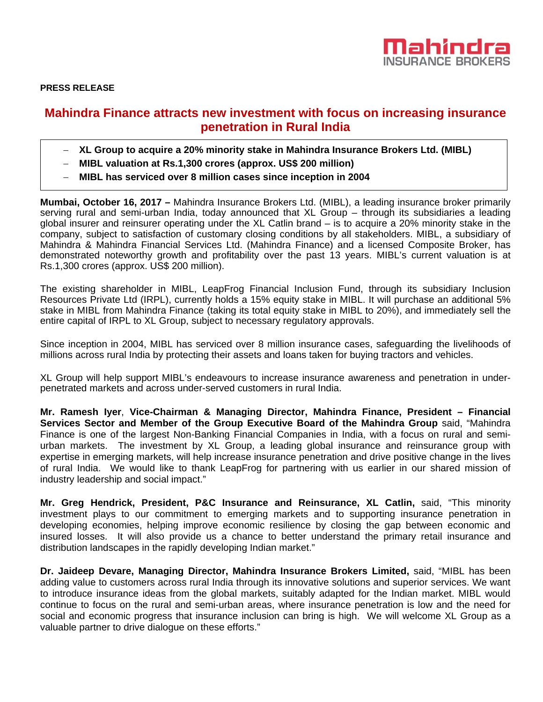

**PRESS RELEASE** 

# **Mahindra Finance attracts new investment with focus on increasing insurance penetration in Rural India**

- − **XL Group to acquire a 20% minority stake in Mahindra Insurance Brokers Ltd. (MIBL)**
- − **MIBL valuation at Rs.1,300 crores (approx. US\$ 200 million)**
- − **MIBL has serviced over 8 million cases since inception in 2004**

**Mumbai, October 16, 2017 –** Mahindra Insurance Brokers Ltd. (MIBL), a leading insurance broker primarily serving rural and semi-urban India, today announced that XL Group – through its subsidiaries a leading global insurer and reinsurer operating under the XL Catlin brand – is to acquire a 20% minority stake in the company, subject to satisfaction of customary closing conditions by all stakeholders. MIBL, a subsidiary of Mahindra & Mahindra Financial Services Ltd. (Mahindra Finance) and a licensed Composite Broker, has demonstrated noteworthy growth and profitability over the past 13 years. MIBL's current valuation is at Rs.1,300 crores (approx. US\$ 200 million).

The existing shareholder in MIBL, LeapFrog Financial Inclusion Fund, through its subsidiary Inclusion Resources Private Ltd (IRPL), currently holds a 15% equity stake in MIBL. It will purchase an additional 5% stake in MIBL from Mahindra Finance (taking its total equity stake in MIBL to 20%), and immediately sell the entire capital of IRPL to XL Group, subject to necessary regulatory approvals.

Since inception in 2004, MIBL has serviced over 8 million insurance cases, safeguarding the livelihoods of millions across rural India by protecting their assets and loans taken for buying tractors and vehicles.

XL Group will help support MIBL's endeavours to increase insurance awareness and penetration in underpenetrated markets and across under-served customers in rural India.

**Mr. Ramesh Iyer**, **Vice-Chairman & Managing Director, Mahindra Finance, President – Financial Services Sector and Member of the Group Executive Board of the Mahindra Group** said, "Mahindra Finance is one of the largest Non-Banking Financial Companies in India, with a focus on rural and semiurban markets. The investment by XL Group, a leading global insurance and reinsurance group with expertise in emerging markets, will help increase insurance penetration and drive positive change in the lives of rural India. We would like to thank LeapFrog for partnering with us earlier in our shared mission of industry leadership and social impact."

**Mr. Greg Hendrick, President, P&C Insurance and Reinsurance, XL Catlin,** said, "This minority investment plays to our commitment to emerging markets and to supporting insurance penetration in developing economies, helping improve economic resilience by closing the gap between economic and insured losses. It will also provide us a chance to better understand the primary retail insurance and distribution landscapes in the rapidly developing Indian market."

**Dr. Jaideep Devare, Managing Director, Mahindra Insurance Brokers Limited,** said, "MIBL has been adding value to customers across rural India through its innovative solutions and superior services. We want to introduce insurance ideas from the global markets, suitably adapted for the Indian market. MIBL would continue to focus on the rural and semi-urban areas, where insurance penetration is low and the need for social and economic progress that insurance inclusion can bring is high. We will welcome XL Group as a valuable partner to drive dialogue on these efforts."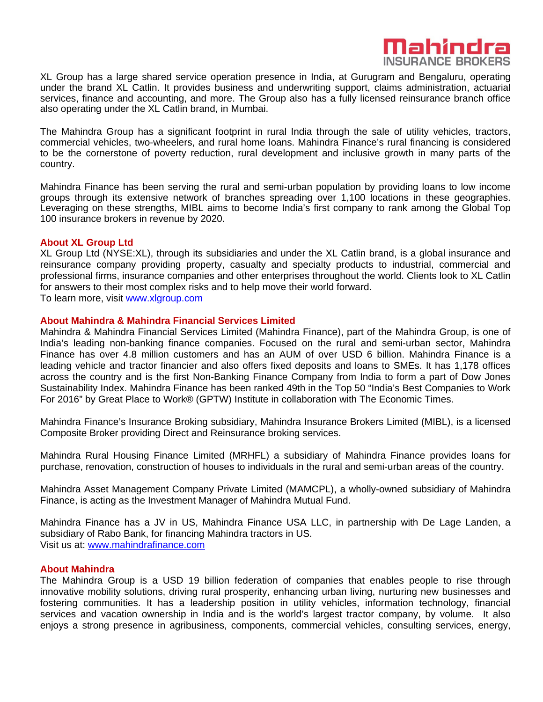

XL Group has a large shared service operation presence in India, at Gurugram and Bengaluru, operating under the brand XL Catlin. It provides business and underwriting support, claims administration, actuarial services, finance and accounting, and more. The Group also has a fully licensed reinsurance branch office also operating under the XL Catlin brand, in Mumbai.

The Mahindra Group has a significant footprint in rural India through the sale of utility vehicles, tractors, commercial vehicles, two-wheelers, and rural home loans. Mahindra Finance's rural financing is considered to be the cornerstone of poverty reduction, rural development and inclusive growth in many parts of the country.

Mahindra Finance has been serving the rural and semi-urban population by providing loans to low income groups through its extensive network of branches spreading over 1,100 locations in these geographies. Leveraging on these strengths, MIBL aims to become India's first company to rank among the Global Top 100 insurance brokers in revenue by 2020.

#### **About XL Group Ltd**

XL Group Ltd (NYSE:XL), through its subsidiaries and under the XL Catlin brand, is a global insurance and reinsurance company providing property, casualty and specialty products to industrial, commercial and professional firms, insurance companies and other enterprises throughout the world. Clients look to XL Catlin for answers to their most complex risks and to help move their world forward. To learn more, visit www.xlgroup.com

#### **About Mahindra & Mahindra Financial Services Limited**

Mahindra & Mahindra Financial Services Limited (Mahindra Finance), part of the Mahindra Group, is one of India's leading non-banking finance companies. Focused on the rural and semi-urban sector, Mahindra Finance has over 4.8 million customers and has an AUM of over USD 6 billion. Mahindra Finance is a leading vehicle and tractor financier and also offers fixed deposits and loans to SMEs. It has 1,178 offices across the country and is the first Non-Banking Finance Company from India to form a part of Dow Jones Sustainability Index. Mahindra Finance has been ranked 49th in the Top 50 "India's Best Companies to Work For 2016" by Great Place to Work® (GPTW) Institute in collaboration with The Economic Times.

Mahindra Finance's Insurance Broking subsidiary, Mahindra Insurance Brokers Limited (MIBL), is a licensed Composite Broker providing Direct and Reinsurance broking services.

Mahindra Rural Housing Finance Limited (MRHFL) a subsidiary of Mahindra Finance provides loans for purchase, renovation, construction of houses to individuals in the rural and semi-urban areas of the country.

Mahindra Asset Management Company Private Limited (MAMCPL), a wholly-owned subsidiary of Mahindra Finance, is acting as the Investment Manager of Mahindra Mutual Fund.

Mahindra Finance has a JV in US, Mahindra Finance USA LLC, in partnership with De Lage Landen, a subsidiary of Rabo Bank, for financing Mahindra tractors in US. Visit us at: www.mahindrafinance.com

#### **About Mahindra**

The Mahindra Group is a USD 19 billion federation of companies that enables people to rise through innovative mobility solutions, driving rural prosperity, enhancing urban living, nurturing new businesses and fostering communities. It has a leadership position in utility vehicles, information technology, financial services and vacation ownership in India and is the world's largest tractor company, by volume. It also enjoys a strong presence in agribusiness, components, commercial vehicles, consulting services, energy,